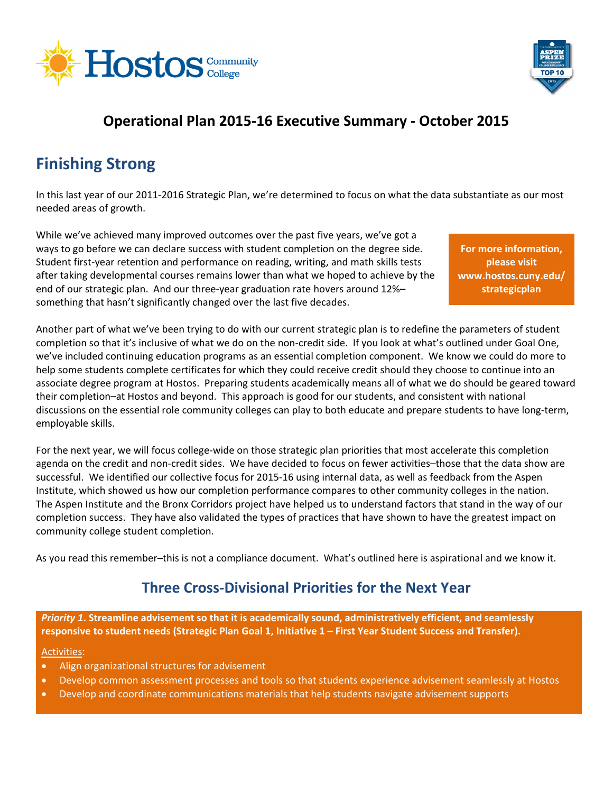



## **Operational Plan 2015‐16 Executive Summary ‐ October 2015**

# **Finishing Strong**

In this last year of our 2011‐2016 Strategic Plan, we're determined to focus on what the data substantiate as our most needed areas of growth.

While we've achieved many improved outcomes over the past five years, we've got a ways to go before we can declare success with student completion on the degree side. Student first‐year retention and performance on reading, writing, and math skills tests after taking developmental courses remains lower than what we hoped to achieve by the end of our strategic plan. And our three‐year graduation rate hovers around 12%– something that hasn't significantly changed over the last five decades.

**For more information, please visit www.hostos.cuny.edu/ strategicplan**

Another part of what we've been trying to do with our current strategic plan is to redefine the parameters of student completion so that it's inclusive of what we do on the non-credit side. If you look at what's outlined under Goal One, we've included continuing education programs as an essential completion component. We know we could do more to help some students complete certificates for which they could receive credit should they choose to continue into an associate degree program at Hostos. Preparing students academically means all of what we do should be geared toward their completion–at Hostos and beyond. This approach is good for our students, and consistent with national discussions on the essential role community colleges can play to both educate and prepare students to have long‐term, employable skills.

For the next year, we will focus college-wide on those strategic plan priorities that most accelerate this completion agenda on the credit and non‐credit sides. We have decided to focus on fewer activities–those that the data show are successful. We identified our collective focus for 2015‐16 using internal data, as well as feedback from the Aspen Institute, which showed us how our completion performance compares to other community colleges in the nation. The Aspen Institute and the Bronx Corridors project have helped us to understand factors that stand in the way of our completion success. They have also validated the types of practices that have shown to have the greatest impact on community college student completion.

As you read this remember–this is not a compliance document. What's outlined here is aspirational and we know it.

## **Three Cross‐Divisional Priorities for the Next Year**

*Priority 1***. Streamline advisement so that it is academically sound, administratively efficient, and seamlessly** responsive to student needs (Strategic Plan Goal 1, Initiative 1 - First Year Student Success and Transfer).

#### Activities:

- Align organizational structures for advisement
- Develop common assessment processes and tools so that students experience advisement seamlessly at Hostos
- Develop and coordinate communications materials that help students navigate advisement supports